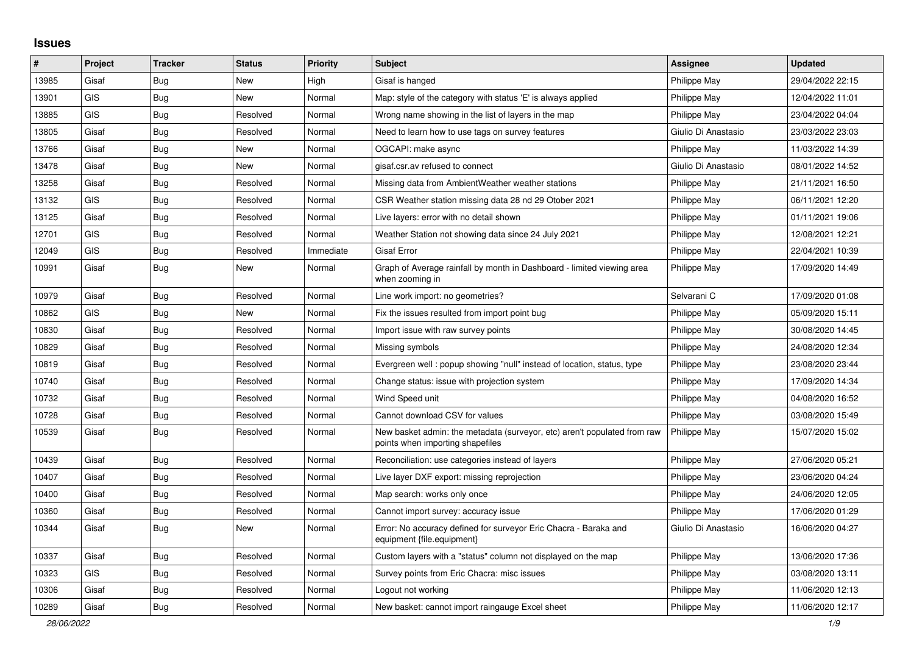## **Issues**

| $\#$  | Project    | <b>Tracker</b> | <b>Status</b> | <b>Priority</b> | <b>Subject</b>                                                                                               | <b>Assignee</b>     | <b>Updated</b>   |
|-------|------------|----------------|---------------|-----------------|--------------------------------------------------------------------------------------------------------------|---------------------|------------------|
| 13985 | Gisaf      | Bug            | <b>New</b>    | High            | Gisaf is hanged                                                                                              | Philippe May        | 29/04/2022 22:15 |
| 13901 | <b>GIS</b> | <b>Bug</b>     | <b>New</b>    | Normal          | Map: style of the category with status 'E' is always applied                                                 | Philippe May        | 12/04/2022 11:01 |
| 13885 | <b>GIS</b> | Bug            | Resolved      | Normal          | Wrong name showing in the list of layers in the map                                                          | Philippe May        | 23/04/2022 04:04 |
| 13805 | Gisaf      | <b>Bug</b>     | Resolved      | Normal          | Need to learn how to use tags on survey features                                                             | Giulio Di Anastasio | 23/03/2022 23:03 |
| 13766 | Gisaf      | Bug            | New           | Normal          | OGCAPI: make async                                                                                           | Philippe May        | 11/03/2022 14:39 |
| 13478 | Gisaf      | <b>Bug</b>     | New           | Normal          | gisaf.csr.av refused to connect                                                                              | Giulio Di Anastasio | 08/01/2022 14:52 |
| 13258 | Gisaf      | <b>Bug</b>     | Resolved      | Normal          | Missing data from AmbientWeather weather stations                                                            | Philippe May        | 21/11/2021 16:50 |
| 13132 | <b>GIS</b> | <b>Bug</b>     | Resolved      | Normal          | CSR Weather station missing data 28 nd 29 Otober 2021                                                        | Philippe May        | 06/11/2021 12:20 |
| 13125 | Gisaf      | Bug            | Resolved      | Normal          | Live layers: error with no detail shown                                                                      | Philippe May        | 01/11/2021 19:06 |
| 12701 | <b>GIS</b> | Bug            | Resolved      | Normal          | Weather Station not showing data since 24 July 2021                                                          | Philippe May        | 12/08/2021 12:21 |
| 12049 | GIS        | <b>Bug</b>     | Resolved      | Immediate       | Gisaf Error                                                                                                  | Philippe May        | 22/04/2021 10:39 |
| 10991 | Gisaf      | Bug            | <b>New</b>    | Normal          | Graph of Average rainfall by month in Dashboard - limited viewing area<br>when zooming in                    | Philippe May        | 17/09/2020 14:49 |
| 10979 | Gisaf      | Bug            | Resolved      | Normal          | Line work import: no geometries?                                                                             | Selvarani C         | 17/09/2020 01:08 |
| 10862 | <b>GIS</b> | <b>Bug</b>     | <b>New</b>    | Normal          | Fix the issues resulted from import point bug                                                                | Philippe May        | 05/09/2020 15:11 |
| 10830 | Gisaf      | <b>Bug</b>     | Resolved      | Normal          | Import issue with raw survey points                                                                          | Philippe May        | 30/08/2020 14:45 |
| 10829 | Gisaf      | <b>Bug</b>     | Resolved      | Normal          | Missing symbols                                                                                              | Philippe May        | 24/08/2020 12:34 |
| 10819 | Gisaf      | Bug            | Resolved      | Normal          | Evergreen well: popup showing "null" instead of location, status, type                                       | Philippe May        | 23/08/2020 23:44 |
| 10740 | Gisaf      | <b>Bug</b>     | Resolved      | Normal          | Change status: issue with projection system                                                                  | Philippe May        | 17/09/2020 14:34 |
| 10732 | Gisaf      | <b>Bug</b>     | Resolved      | Normal          | Wind Speed unit                                                                                              | Philippe May        | 04/08/2020 16:52 |
| 10728 | Gisaf      | Bug            | Resolved      | Normal          | Cannot download CSV for values                                                                               | Philippe May        | 03/08/2020 15:49 |
| 10539 | Gisaf      | <b>Bug</b>     | Resolved      | Normal          | New basket admin: the metadata (surveyor, etc) aren't populated from raw<br>points when importing shapefiles | Philippe May        | 15/07/2020 15:02 |
| 10439 | Gisaf      | Bug            | Resolved      | Normal          | Reconciliation: use categories instead of layers                                                             | Philippe May        | 27/06/2020 05:21 |
| 10407 | Gisaf      | Bug            | Resolved      | Normal          | Live layer DXF export: missing reprojection                                                                  | Philippe May        | 23/06/2020 04:24 |
| 10400 | Gisaf      | <b>Bug</b>     | Resolved      | Normal          | Map search: works only once                                                                                  | Philippe May        | 24/06/2020 12:05 |
| 10360 | Gisaf      | <b>Bug</b>     | Resolved      | Normal          | Cannot import survey: accuracy issue                                                                         | Philippe May        | 17/06/2020 01:29 |
| 10344 | Gisaf      | <b>Bug</b>     | <b>New</b>    | Normal          | Error: No accuracy defined for surveyor Eric Chacra - Baraka and<br>equipment {file.equipment}               | Giulio Di Anastasio | 16/06/2020 04:27 |
| 10337 | Gisaf      | Bug            | Resolved      | Normal          | Custom layers with a "status" column not displayed on the map                                                | Philippe May        | 13/06/2020 17:36 |
| 10323 | <b>GIS</b> | <b>Bug</b>     | Resolved      | Normal          | Survey points from Eric Chacra: misc issues                                                                  | Philippe May        | 03/08/2020 13:11 |
| 10306 | Gisaf      | Bug            | Resolved      | Normal          | Logout not working                                                                                           | Philippe May        | 11/06/2020 12:13 |
| 10289 | Gisaf      | <b>Bug</b>     | Resolved      | Normal          | New basket: cannot import raingauge Excel sheet                                                              | Philippe May        | 11/06/2020 12:17 |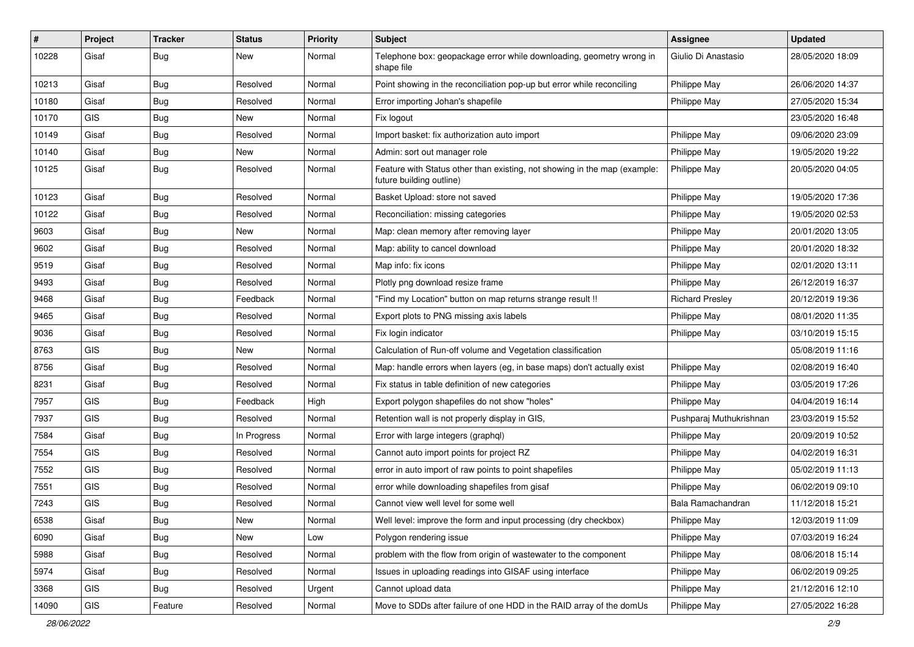| #     | Project    | <b>Tracker</b> | <b>Status</b> | Priority | Subject                                                                                               | Assignee                | <b>Updated</b>   |
|-------|------------|----------------|---------------|----------|-------------------------------------------------------------------------------------------------------|-------------------------|------------------|
| 10228 | Gisaf      | <b>Bug</b>     | New           | Normal   | Telephone box: geopackage error while downloading, geometry wrong in<br>shape file                    | Giulio Di Anastasio     | 28/05/2020 18:09 |
| 10213 | Gisaf      | <b>Bug</b>     | Resolved      | Normal   | Point showing in the reconciliation pop-up but error while reconciling                                | Philippe May            | 26/06/2020 14:37 |
| 10180 | Gisaf      | <b>Bug</b>     | Resolved      | Normal   | Error importing Johan's shapefile                                                                     | Philippe May            | 27/05/2020 15:34 |
| 10170 | <b>GIS</b> | Bug            | <b>New</b>    | Normal   | Fix logout                                                                                            |                         | 23/05/2020 16:48 |
| 10149 | Gisaf      | <b>Bug</b>     | Resolved      | Normal   | Import basket: fix authorization auto import                                                          | Philippe May            | 09/06/2020 23:09 |
| 10140 | Gisaf      | Bug            | New           | Normal   | Admin: sort out manager role                                                                          | Philippe May            | 19/05/2020 19:22 |
| 10125 | Gisaf      | <b>Bug</b>     | Resolved      | Normal   | Feature with Status other than existing, not showing in the map (example:<br>future building outline) | <b>Philippe May</b>     | 20/05/2020 04:05 |
| 10123 | Gisaf      | Bug            | Resolved      | Normal   | Basket Upload: store not saved                                                                        | Philippe May            | 19/05/2020 17:36 |
| 10122 | Gisaf      | Bug            | Resolved      | Normal   | Reconciliation: missing categories                                                                    | Philippe May            | 19/05/2020 02:53 |
| 9603  | Gisaf      | Bug            | New           | Normal   | Map: clean memory after removing layer                                                                | <b>Philippe May</b>     | 20/01/2020 13:05 |
| 9602  | Gisaf      | Bug            | Resolved      | Normal   | Map: ability to cancel download                                                                       | Philippe May            | 20/01/2020 18:32 |
| 9519  | Gisaf      | <b>Bug</b>     | Resolved      | Normal   | Map info: fix icons                                                                                   | Philippe May            | 02/01/2020 13:11 |
| 9493  | Gisaf      | <b>Bug</b>     | Resolved      | Normal   | Plotly png download resize frame                                                                      | Philippe May            | 26/12/2019 16:37 |
| 9468  | Gisaf      | <b>Bug</b>     | Feedback      | Normal   | "Find my Location" button on map returns strange result !!                                            | <b>Richard Presley</b>  | 20/12/2019 19:36 |
| 9465  | Gisaf      | Bug            | Resolved      | Normal   | Export plots to PNG missing axis labels                                                               | Philippe May            | 08/01/2020 11:35 |
| 9036  | Gisaf      | <b>Bug</b>     | Resolved      | Normal   | Fix login indicator                                                                                   | Philippe May            | 03/10/2019 15:15 |
| 8763  | <b>GIS</b> | <b>Bug</b>     | New           | Normal   | Calculation of Run-off volume and Vegetation classification                                           |                         | 05/08/2019 11:16 |
| 8756  | Gisaf      | Bug            | Resolved      | Normal   | Map: handle errors when layers (eg, in base maps) don't actually exist                                | Philippe May            | 02/08/2019 16:40 |
| 8231  | Gisaf      | <b>Bug</b>     | Resolved      | Normal   | Fix status in table definition of new categories                                                      | Philippe May            | 03/05/2019 17:26 |
| 7957  | <b>GIS</b> | <b>Bug</b>     | Feedback      | High     | Export polygon shapefiles do not show "holes"                                                         | Philippe May            | 04/04/2019 16:14 |
| 7937  | GIS        | Bug            | Resolved      | Normal   | Retention wall is not properly display in GIS,                                                        | Pushparaj Muthukrishnan | 23/03/2019 15:52 |
| 7584  | Gisaf      | <b>Bug</b>     | In Progress   | Normal   | Error with large integers (graphql)                                                                   | Philippe May            | 20/09/2019 10:52 |
| 7554  | GIS        | <b>Bug</b>     | Resolved      | Normal   | Cannot auto import points for project RZ                                                              | Philippe May            | 04/02/2019 16:31 |
| 7552  | <b>GIS</b> | <b>Bug</b>     | Resolved      | Normal   | error in auto import of raw points to point shapefiles                                                | Philippe May            | 05/02/2019 11:13 |
| 7551  | GIS        | Bug            | Resolved      | Normal   | error while downloading shapefiles from gisaf                                                         | Philippe May            | 06/02/2019 09:10 |
| 7243  | GIS        | Bug            | Resolved      | Normal   | Cannot view well level for some well                                                                  | Bala Ramachandran       | 11/12/2018 15:21 |
| 6538  | Gisaf      | Bug            | New           | Normal   | Well level: improve the form and input processing (dry checkbox)                                      | Philippe May            | 12/03/2019 11:09 |
| 6090  | Gisaf      | Bug            | New           | Low      | Polygon rendering issue                                                                               | Philippe May            | 07/03/2019 16:24 |
| 5988  | Gisaf      | <b>Bug</b>     | Resolved      | Normal   | problem with the flow from origin of wastewater to the component                                      | Philippe May            | 08/06/2018 15:14 |
| 5974  | Gisaf      | Bug            | Resolved      | Normal   | Issues in uploading readings into GISAF using interface                                               | Philippe May            | 06/02/2019 09:25 |
| 3368  | <b>GIS</b> | <b>Bug</b>     | Resolved      | Urgent   | Cannot upload data                                                                                    | Philippe May            | 21/12/2016 12:10 |
| 14090 | GIS        | Feature        | Resolved      | Normal   | Move to SDDs after failure of one HDD in the RAID array of the domUs                                  | Philippe May            | 27/05/2022 16:28 |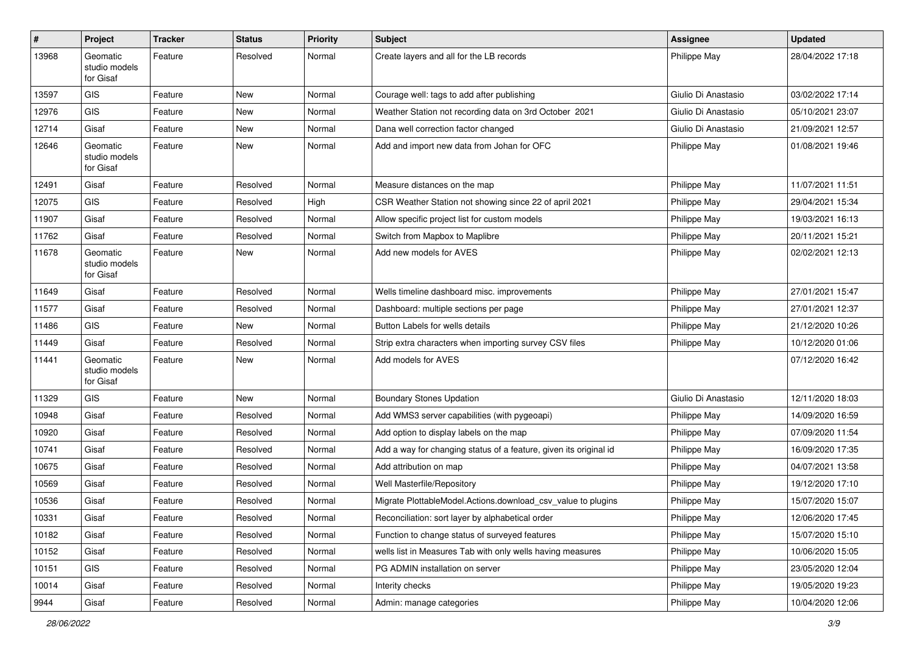| #     | Project                                | Tracker | <b>Status</b> | <b>Priority</b> | Subject                                                           | <b>Assignee</b>     | <b>Updated</b>   |
|-------|----------------------------------------|---------|---------------|-----------------|-------------------------------------------------------------------|---------------------|------------------|
| 13968 | Geomatic<br>studio models<br>for Gisaf | Feature | Resolved      | Normal          | Create layers and all for the LB records                          | Philippe May        | 28/04/2022 17:18 |
| 13597 | <b>GIS</b>                             | Feature | New           | Normal          | Courage well: tags to add after publishing                        | Giulio Di Anastasio | 03/02/2022 17:14 |
| 12976 | <b>GIS</b>                             | Feature | <b>New</b>    | Normal          | Weather Station not recording data on 3rd October 2021            | Giulio Di Anastasio | 05/10/2021 23:07 |
| 12714 | Gisaf                                  | Feature | New           | Normal          | Dana well correction factor changed                               | Giulio Di Anastasio | 21/09/2021 12:57 |
| 12646 | Geomatic<br>studio models<br>for Gisaf | Feature | New           | Normal          | Add and import new data from Johan for OFC                        | Philippe May        | 01/08/2021 19:46 |
| 12491 | Gisaf                                  | Feature | Resolved      | Normal          | Measure distances on the map                                      | Philippe May        | 11/07/2021 11:51 |
| 12075 | <b>GIS</b>                             | Feature | Resolved      | High            | CSR Weather Station not showing since 22 of april 2021            | Philippe May        | 29/04/2021 15:34 |
| 11907 | Gisaf                                  | Feature | Resolved      | Normal          | Allow specific project list for custom models                     | Philippe May        | 19/03/2021 16:13 |
| 11762 | Gisaf                                  | Feature | Resolved      | Normal          | Switch from Mapbox to Maplibre                                    | Philippe May        | 20/11/2021 15:21 |
| 11678 | Geomatic<br>studio models<br>for Gisaf | Feature | New           | Normal          | Add new models for AVES                                           | Philippe May        | 02/02/2021 12:13 |
| 11649 | Gisaf                                  | Feature | Resolved      | Normal          | Wells timeline dashboard misc. improvements                       | Philippe May        | 27/01/2021 15:47 |
| 11577 | Gisaf                                  | Feature | Resolved      | Normal          | Dashboard: multiple sections per page                             | Philippe May        | 27/01/2021 12:37 |
| 11486 | <b>GIS</b>                             | Feature | New           | Normal          | Button Labels for wells details                                   | Philippe May        | 21/12/2020 10:26 |
| 11449 | Gisaf                                  | Feature | Resolved      | Normal          | Strip extra characters when importing survey CSV files            | Philippe May        | 10/12/2020 01:06 |
| 11441 | Geomatic<br>studio models<br>for Gisaf | Feature | New           | Normal          | Add models for AVES                                               |                     | 07/12/2020 16:42 |
| 11329 | <b>GIS</b>                             | Feature | New           | Normal          | <b>Boundary Stones Updation</b>                                   | Giulio Di Anastasio | 12/11/2020 18:03 |
| 10948 | Gisaf                                  | Feature | Resolved      | Normal          | Add WMS3 server capabilities (with pygeoapi)                      | Philippe May        | 14/09/2020 16:59 |
| 10920 | Gisaf                                  | Feature | Resolved      | Normal          | Add option to display labels on the map                           | Philippe May        | 07/09/2020 11:54 |
| 10741 | Gisaf                                  | Feature | Resolved      | Normal          | Add a way for changing status of a feature, given its original id | Philippe May        | 16/09/2020 17:35 |
| 10675 | Gisaf                                  | Feature | Resolved      | Normal          | Add attribution on map                                            | Philippe May        | 04/07/2021 13:58 |
| 10569 | Gisaf                                  | Feature | Resolved      | Normal          | Well Masterfile/Repository                                        | Philippe May        | 19/12/2020 17:10 |
| 10536 | Gisaf                                  | Feature | Resolved      | Normal          | Migrate PlottableModel.Actions.download csv value to plugins      | Philippe May        | 15/07/2020 15:07 |
| 10331 | Gisaf                                  | Feature | Resolved      | Normal          | Reconciliation: sort layer by alphabetical order                  | Philippe May        | 12/06/2020 17:45 |
| 10182 | Gisaf                                  | Feature | Resolved      | Normal          | Function to change status of surveyed features                    | Philippe May        | 15/07/2020 15:10 |
| 10152 | Gisaf                                  | Feature | Resolved      | Normal          | wells list in Measures Tab with only wells having measures        | Philippe May        | 10/06/2020 15:05 |
| 10151 | GIS                                    | Feature | Resolved      | Normal          | PG ADMIN installation on server                                   | Philippe May        | 23/05/2020 12:04 |
| 10014 | Gisaf                                  | Feature | Resolved      | Normal          | Interity checks                                                   | Philippe May        | 19/05/2020 19:23 |
| 9944  | Gisaf                                  | Feature | Resolved      | Normal          | Admin: manage categories                                          | Philippe May        | 10/04/2020 12:06 |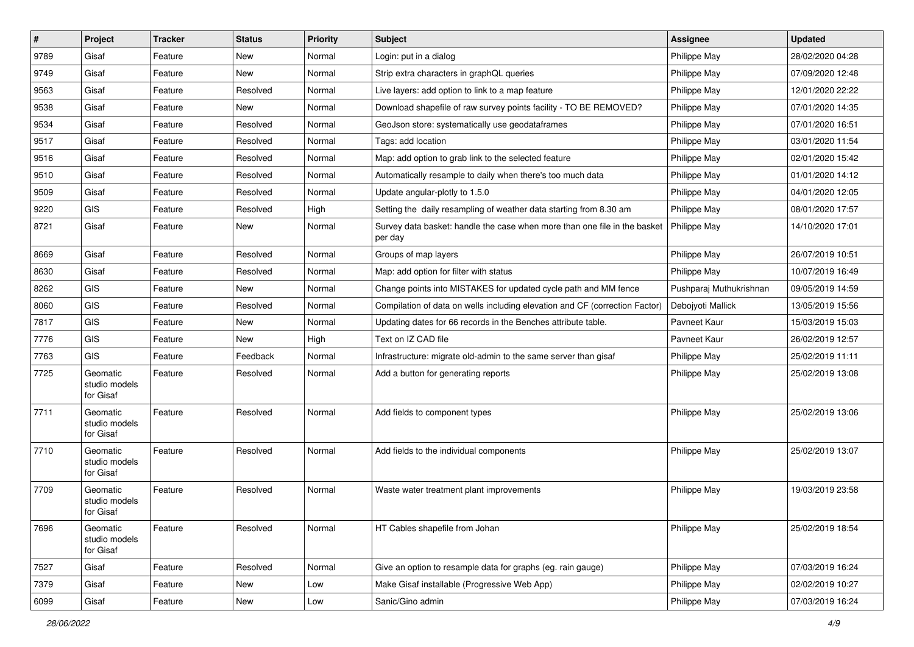| $\#$ | Project                                | <b>Tracker</b> | <b>Status</b> | <b>Priority</b> | <b>Subject</b>                                                                       | <b>Assignee</b>         | <b>Updated</b>   |
|------|----------------------------------------|----------------|---------------|-----------------|--------------------------------------------------------------------------------------|-------------------------|------------------|
| 9789 | Gisaf                                  | Feature        | New           | Normal          | Login: put in a dialog                                                               | Philippe May            | 28/02/2020 04:28 |
| 9749 | Gisaf                                  | Feature        | New           | Normal          | Strip extra characters in graphQL queries                                            | Philippe May            | 07/09/2020 12:48 |
| 9563 | Gisaf                                  | Feature        | Resolved      | Normal          | Live layers: add option to link to a map feature                                     | Philippe May            | 12/01/2020 22:22 |
| 9538 | Gisaf                                  | Feature        | New           | Normal          | Download shapefile of raw survey points facility - TO BE REMOVED?                    | Philippe May            | 07/01/2020 14:35 |
| 9534 | Gisaf                                  | Feature        | Resolved      | Normal          | GeoJson store: systematically use geodataframes                                      | Philippe May            | 07/01/2020 16:51 |
| 9517 | Gisaf                                  | Feature        | Resolved      | Normal          | Tags: add location                                                                   | Philippe May            | 03/01/2020 11:54 |
| 9516 | Gisaf                                  | Feature        | Resolved      | Normal          | Map: add option to grab link to the selected feature                                 | Philippe May            | 02/01/2020 15:42 |
| 9510 | Gisaf                                  | Feature        | Resolved      | Normal          | Automatically resample to daily when there's too much data                           | Philippe May            | 01/01/2020 14:12 |
| 9509 | Gisaf                                  | Feature        | Resolved      | Normal          | Update angular-plotly to 1.5.0                                                       | Philippe May            | 04/01/2020 12:05 |
| 9220 | GIS                                    | Feature        | Resolved      | High            | Setting the daily resampling of weather data starting from 8.30 am                   | Philippe May            | 08/01/2020 17:57 |
| 8721 | Gisaf                                  | Feature        | New           | Normal          | Survey data basket: handle the case when more than one file in the basket<br>per day | Philippe May            | 14/10/2020 17:01 |
| 8669 | Gisaf                                  | Feature        | Resolved      | Normal          | Groups of map layers                                                                 | Philippe May            | 26/07/2019 10:51 |
| 8630 | Gisaf                                  | Feature        | Resolved      | Normal          | Map: add option for filter with status                                               | Philippe May            | 10/07/2019 16:49 |
| 8262 | GIS                                    | Feature        | New           | Normal          | Change points into MISTAKES for updated cycle path and MM fence                      | Pushparaj Muthukrishnan | 09/05/2019 14:59 |
| 8060 | GIS                                    | Feature        | Resolved      | Normal          | Compilation of data on wells including elevation and CF (correction Factor)          | Debojyoti Mallick       | 13/05/2019 15:56 |
| 7817 | GIS                                    | Feature        | <b>New</b>    | Normal          | Updating dates for 66 records in the Benches attribute table.                        | Pavneet Kaur            | 15/03/2019 15:03 |
| 7776 | GIS                                    | Feature        | New           | High            | Text on IZ CAD file                                                                  | Pavneet Kaur            | 26/02/2019 12:57 |
| 7763 | GIS                                    | Feature        | Feedback      | Normal          | Infrastructure: migrate old-admin to the same server than gisaf                      | Philippe May            | 25/02/2019 11:11 |
| 7725 | Geomatic<br>studio models<br>for Gisaf | Feature        | Resolved      | Normal          | Add a button for generating reports                                                  | Philippe May            | 25/02/2019 13:08 |
| 7711 | Geomatic<br>studio models<br>for Gisaf | Feature        | Resolved      | Normal          | Add fields to component types                                                        | Philippe May            | 25/02/2019 13:06 |
| 7710 | Geomatic<br>studio models<br>for Gisaf | Feature        | Resolved      | Normal          | Add fields to the individual components                                              | Philippe May            | 25/02/2019 13:07 |
| 7709 | Geomatic<br>studio models<br>for Gisaf | Feature        | Resolved      | Normal          | Waste water treatment plant improvements                                             | Philippe May            | 19/03/2019 23:58 |
| 7696 | Geomatic<br>studio models<br>for Gisaf | Feature        | Resolved      | Normal          | HT Cables shapefile from Johan                                                       | Philippe May            | 25/02/2019 18:54 |
| 7527 | Gisaf                                  | Feature        | Resolved      | Normal          | Give an option to resample data for graphs (eg. rain gauge)                          | Philippe May            | 07/03/2019 16:24 |
| 7379 | Gisaf                                  | Feature        | New           | Low             | Make Gisaf installable (Progressive Web App)                                         | Philippe May            | 02/02/2019 10:27 |
| 6099 | Gisaf                                  | Feature        | New           | Low             | Sanic/Gino admin                                                                     | Philippe May            | 07/03/2019 16:24 |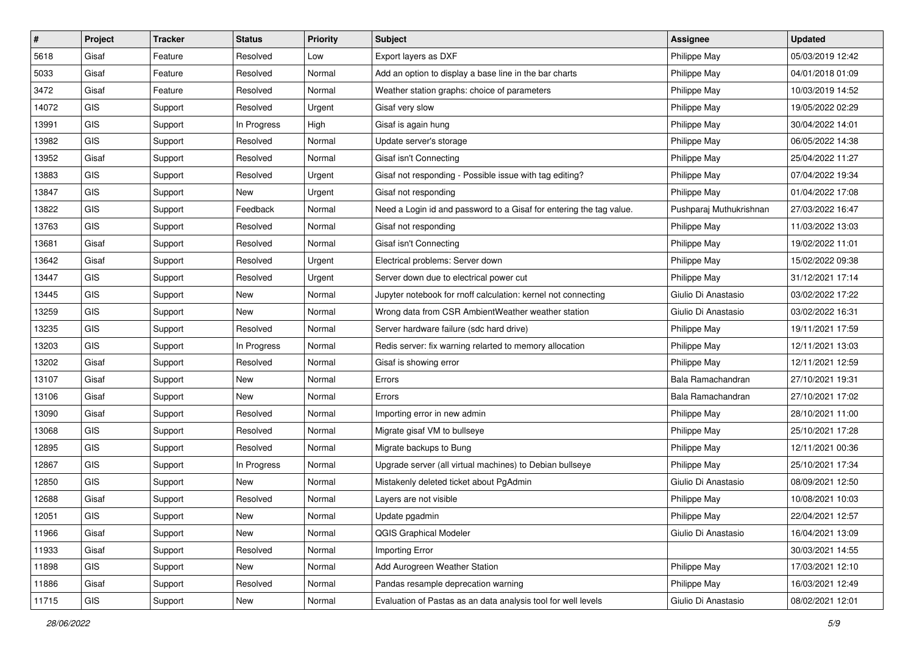| $\vert$ # | Project    | <b>Tracker</b> | <b>Status</b> | <b>Priority</b> | Subject                                                             | <b>Assignee</b>         | <b>Updated</b>   |
|-----------|------------|----------------|---------------|-----------------|---------------------------------------------------------------------|-------------------------|------------------|
| 5618      | Gisaf      | Feature        | Resolved      | Low             | Export layers as DXF                                                | Philippe May            | 05/03/2019 12:42 |
| 5033      | Gisaf      | Feature        | Resolved      | Normal          | Add an option to display a base line in the bar charts              | Philippe May            | 04/01/2018 01:09 |
| 3472      | Gisaf      | Feature        | Resolved      | Normal          | Weather station graphs: choice of parameters                        | Philippe May            | 10/03/2019 14:52 |
| 14072     | <b>GIS</b> | Support        | Resolved      | Urgent          | Gisaf very slow                                                     | Philippe May            | 19/05/2022 02:29 |
| 13991     | <b>GIS</b> | Support        | In Progress   | High            | Gisaf is again hung                                                 | Philippe May            | 30/04/2022 14:01 |
| 13982     | <b>GIS</b> | Support        | Resolved      | Normal          | Update server's storage                                             | Philippe May            | 06/05/2022 14:38 |
| 13952     | Gisaf      | Support        | Resolved      | Normal          | Gisaf isn't Connecting                                              | Philippe May            | 25/04/2022 11:27 |
| 13883     | <b>GIS</b> | Support        | Resolved      | Urgent          | Gisaf not responding - Possible issue with tag editing?             | Philippe May            | 07/04/2022 19:34 |
| 13847     | GIS        | Support        | New           | Urgent          | Gisaf not responding                                                | Philippe May            | 01/04/2022 17:08 |
| 13822     | <b>GIS</b> | Support        | Feedback      | Normal          | Need a Login id and password to a Gisaf for entering the tag value. | Pushparaj Muthukrishnan | 27/03/2022 16:47 |
| 13763     | <b>GIS</b> | Support        | Resolved      | Normal          | Gisaf not responding                                                | Philippe May            | 11/03/2022 13:03 |
| 13681     | Gisaf      | Support        | Resolved      | Normal          | Gisaf isn't Connecting                                              | Philippe May            | 19/02/2022 11:01 |
| 13642     | Gisaf      | Support        | Resolved      | Urgent          | Electrical problems: Server down                                    | Philippe May            | 15/02/2022 09:38 |
| 13447     | <b>GIS</b> | Support        | Resolved      | Urgent          | Server down due to electrical power cut                             | Philippe May            | 31/12/2021 17:14 |
| 13445     | <b>GIS</b> | Support        | New           | Normal          | Jupyter notebook for rnoff calculation: kernel not connecting       | Giulio Di Anastasio     | 03/02/2022 17:22 |
| 13259     | <b>GIS</b> | Support        | New           | Normal          | Wrong data from CSR AmbientWeather weather station                  | Giulio Di Anastasio     | 03/02/2022 16:31 |
| 13235     | <b>GIS</b> | Support        | Resolved      | Normal          | Server hardware failure (sdc hard drive)                            | Philippe May            | 19/11/2021 17:59 |
| 13203     | <b>GIS</b> | Support        | In Progress   | Normal          | Redis server: fix warning relarted to memory allocation             | Philippe May            | 12/11/2021 13:03 |
| 13202     | Gisaf      | Support        | Resolved      | Normal          | Gisaf is showing error                                              | Philippe May            | 12/11/2021 12:59 |
| 13107     | Gisaf      | Support        | New           | Normal          | Errors                                                              | Bala Ramachandran       | 27/10/2021 19:31 |
| 13106     | Gisaf      | Support        | New           | Normal          | Errors                                                              | Bala Ramachandran       | 27/10/2021 17:02 |
| 13090     | Gisaf      | Support        | Resolved      | Normal          | Importing error in new admin                                        | Philippe May            | 28/10/2021 11:00 |
| 13068     | <b>GIS</b> | Support        | Resolved      | Normal          | Migrate gisaf VM to bullseye                                        | Philippe May            | 25/10/2021 17:28 |
| 12895     | <b>GIS</b> | Support        | Resolved      | Normal          | Migrate backups to Bung                                             | Philippe May            | 12/11/2021 00:36 |
| 12867     | GIS        | Support        | In Progress   | Normal          | Upgrade server (all virtual machines) to Debian bullseye            | Philippe May            | 25/10/2021 17:34 |
| 12850     | <b>GIS</b> | Support        | New           | Normal          | Mistakenly deleted ticket about PgAdmin                             | Giulio Di Anastasio     | 08/09/2021 12:50 |
| 12688     | Gisaf      | Support        | Resolved      | Normal          | Layers are not visible                                              | Philippe May            | 10/08/2021 10:03 |
| 12051     | GIS        | Support        | New           | Normal          | Update pgadmin                                                      | Philippe May            | 22/04/2021 12:57 |
| 11966     | Gisaf      | Support        | New           | Normal          | <b>QGIS Graphical Modeler</b>                                       | Giulio Di Anastasio     | 16/04/2021 13:09 |
| 11933     | Gisaf      | Support        | Resolved      | Normal          | Importing Error                                                     |                         | 30/03/2021 14:55 |
| 11898     | <b>GIS</b> | Support        | New           | Normal          | Add Aurogreen Weather Station                                       | Philippe May            | 17/03/2021 12:10 |
| 11886     | Gisaf      | Support        | Resolved      | Normal          | Pandas resample deprecation warning                                 | Philippe May            | 16/03/2021 12:49 |
| 11715     | GIS        | Support        | New           | Normal          | Evaluation of Pastas as an data analysis tool for well levels       | Giulio Di Anastasio     | 08/02/2021 12:01 |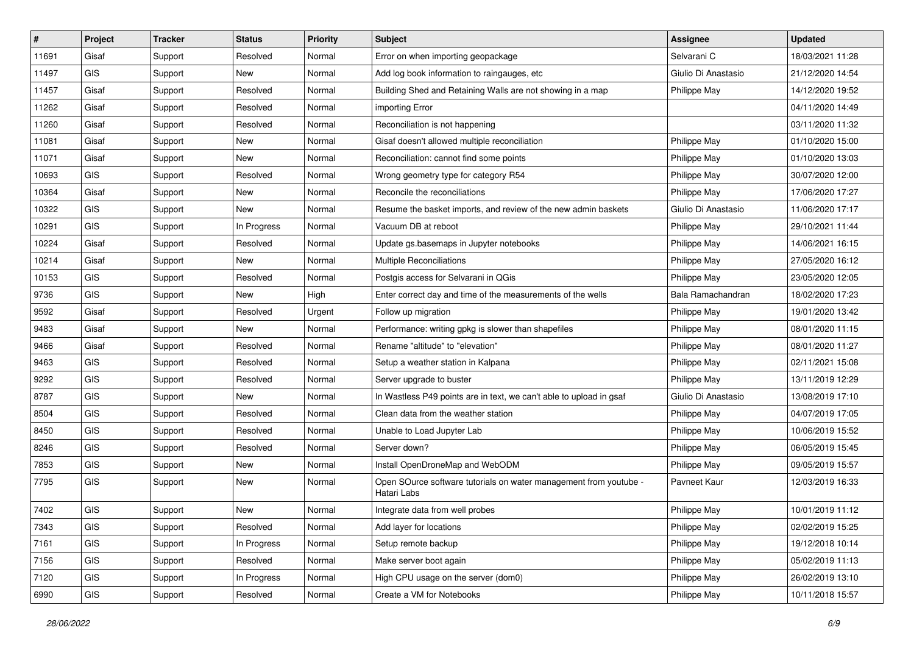| #     | Project    | <b>Tracker</b> | <b>Status</b> | Priority | <b>Subject</b>                                                                   | <b>Assignee</b>     | <b>Updated</b>   |
|-------|------------|----------------|---------------|----------|----------------------------------------------------------------------------------|---------------------|------------------|
| 11691 | Gisaf      | Support        | Resolved      | Normal   | Error on when importing geopackage                                               | Selvarani C         | 18/03/2021 11:28 |
| 11497 | <b>GIS</b> | Support        | New           | Normal   | Add log book information to raingauges, etc                                      | Giulio Di Anastasio | 21/12/2020 14:54 |
| 11457 | Gisaf      | Support        | Resolved      | Normal   | Building Shed and Retaining Walls are not showing in a map                       | Philippe May        | 14/12/2020 19:52 |
| 11262 | Gisaf      | Support        | Resolved      | Normal   | importing Error                                                                  |                     | 04/11/2020 14:49 |
| 11260 | Gisaf      | Support        | Resolved      | Normal   | Reconciliation is not happening                                                  |                     | 03/11/2020 11:32 |
| 11081 | Gisaf      | Support        | <b>New</b>    | Normal   | Gisaf doesn't allowed multiple reconciliation                                    | Philippe May        | 01/10/2020 15:00 |
| 11071 | Gisaf      | Support        | New           | Normal   | Reconciliation: cannot find some points                                          | Philippe May        | 01/10/2020 13:03 |
| 10693 | <b>GIS</b> | Support        | Resolved      | Normal   | Wrong geometry type for category R54                                             | Philippe May        | 30/07/2020 12:00 |
| 10364 | Gisaf      | Support        | <b>New</b>    | Normal   | Reconcile the reconciliations                                                    | Philippe May        | 17/06/2020 17:27 |
| 10322 | GIS        | Support        | New           | Normal   | Resume the basket imports, and review of the new admin baskets                   | Giulio Di Anastasio | 11/06/2020 17:17 |
| 10291 | <b>GIS</b> | Support        | In Progress   | Normal   | Vacuum DB at reboot                                                              | Philippe May        | 29/10/2021 11:44 |
| 10224 | Gisaf      | Support        | Resolved      | Normal   | Update gs.basemaps in Jupyter notebooks                                          | Philippe May        | 14/06/2021 16:15 |
| 10214 | Gisaf      | Support        | New           | Normal   | <b>Multiple Reconciliations</b>                                                  | Philippe May        | 27/05/2020 16:12 |
| 10153 | <b>GIS</b> | Support        | Resolved      | Normal   | Postgis access for Selvarani in QGis                                             | Philippe May        | 23/05/2020 12:05 |
| 9736  | <b>GIS</b> | Support        | New           | High     | Enter correct day and time of the measurements of the wells                      | Bala Ramachandran   | 18/02/2020 17:23 |
| 9592  | Gisaf      | Support        | Resolved      | Urgent   | Follow up migration                                                              | Philippe May        | 19/01/2020 13:42 |
| 9483  | Gisaf      | Support        | New           | Normal   | Performance: writing gpkg is slower than shapefiles                              | Philippe May        | 08/01/2020 11:15 |
| 9466  | Gisaf      | Support        | Resolved      | Normal   | Rename "altitude" to "elevation"                                                 | Philippe May        | 08/01/2020 11:27 |
| 9463  | <b>GIS</b> | Support        | Resolved      | Normal   | Setup a weather station in Kalpana                                               | Philippe May        | 02/11/2021 15:08 |
| 9292  | <b>GIS</b> | Support        | Resolved      | Normal   | Server upgrade to buster                                                         | Philippe May        | 13/11/2019 12:29 |
| 8787  | <b>GIS</b> | Support        | New           | Normal   | In Wastless P49 points are in text, we can't able to upload in gsaf              | Giulio Di Anastasio | 13/08/2019 17:10 |
| 8504  | GIS        | Support        | Resolved      | Normal   | Clean data from the weather station                                              | Philippe May        | 04/07/2019 17:05 |
| 8450  | GIS        | Support        | Resolved      | Normal   | Unable to Load Jupyter Lab                                                       | Philippe May        | 10/06/2019 15:52 |
| 8246  | <b>GIS</b> | Support        | Resolved      | Normal   | Server down?                                                                     | Philippe May        | 06/05/2019 15:45 |
| 7853  | <b>GIS</b> | Support        | New           | Normal   | Install OpenDroneMap and WebODM                                                  | Philippe May        | 09/05/2019 15:57 |
| 7795  | <b>GIS</b> | Support        | New           | Normal   | Open SOurce software tutorials on water management from youtube -<br>Hatari Labs | Pavneet Kaur        | 12/03/2019 16:33 |
| 7402  | GIS        | Support        | <b>New</b>    | Normal   | Integrate data from well probes                                                  | Philippe May        | 10/01/2019 11:12 |
| 7343  | GIS        | Support        | Resolved      | Normal   | Add layer for locations                                                          | Philippe May        | 02/02/2019 15:25 |
| 7161  | GIS        | Support        | In Progress   | Normal   | Setup remote backup                                                              | Philippe May        | 19/12/2018 10:14 |
| 7156  | GIS        | Support        | Resolved      | Normal   | Make server boot again                                                           | Philippe May        | 05/02/2019 11:13 |
| 7120  | GIS        | Support        | In Progress   | Normal   | High CPU usage on the server (dom0)                                              | Philippe May        | 26/02/2019 13:10 |
| 6990  | GIS        | Support        | Resolved      | Normal   | Create a VM for Notebooks                                                        | Philippe May        | 10/11/2018 15:57 |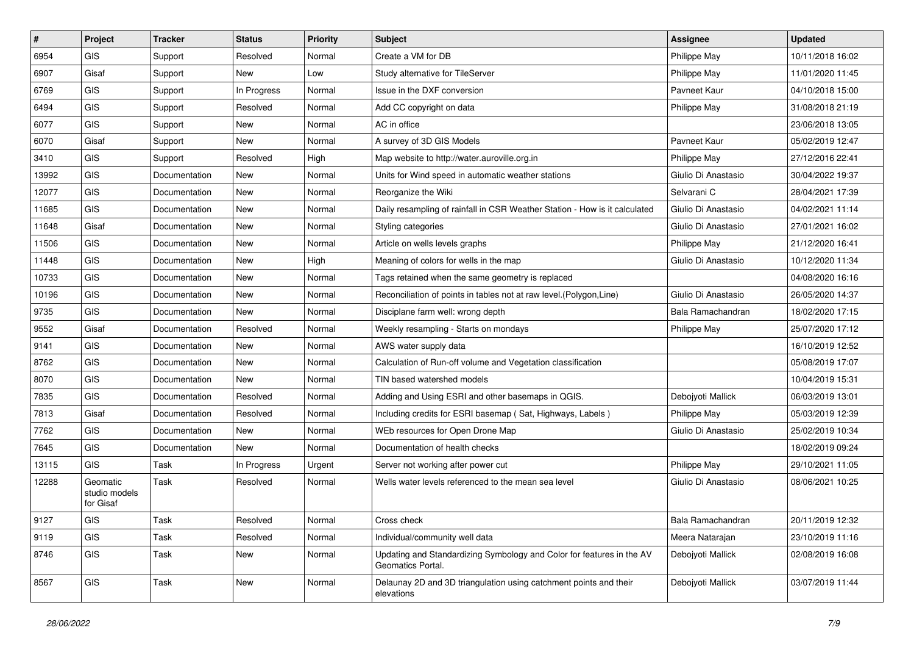| $\#$  | Project                                | <b>Tracker</b> | <b>Status</b> | <b>Priority</b> | Subject                                                                                    | Assignee            | <b>Updated</b>   |
|-------|----------------------------------------|----------------|---------------|-----------------|--------------------------------------------------------------------------------------------|---------------------|------------------|
| 6954  | <b>GIS</b>                             | Support        | Resolved      | Normal          | Create a VM for DB                                                                         | Philippe May        | 10/11/2018 16:02 |
| 6907  | Gisaf                                  | Support        | New           | Low             | Study alternative for TileServer                                                           | Philippe May        | 11/01/2020 11:45 |
| 6769  | <b>GIS</b>                             | Support        | In Progress   | Normal          | Issue in the DXF conversion                                                                | Pavneet Kaur        | 04/10/2018 15:00 |
| 6494  | <b>GIS</b>                             | Support        | Resolved      | Normal          | Add CC copyright on data                                                                   | Philippe May        | 31/08/2018 21:19 |
| 6077  | <b>GIS</b>                             | Support        | New           | Normal          | AC in office                                                                               |                     | 23/06/2018 13:05 |
| 6070  | Gisaf                                  | Support        | New           | Normal          | A survey of 3D GIS Models                                                                  | Pavneet Kaur        | 05/02/2019 12:47 |
| 3410  | <b>GIS</b>                             | Support        | Resolved      | High            | Map website to http://water.auroville.org.in                                               | Philippe May        | 27/12/2016 22:41 |
| 13992 | <b>GIS</b>                             | Documentation  | New           | Normal          | Units for Wind speed in automatic weather stations                                         | Giulio Di Anastasio | 30/04/2022 19:37 |
| 12077 | GIS                                    | Documentation  | New           | Normal          | Reorganize the Wiki                                                                        | Selvarani C         | 28/04/2021 17:39 |
| 11685 | <b>GIS</b>                             | Documentation  | New           | Normal          | Daily resampling of rainfall in CSR Weather Station - How is it calculated                 | Giulio Di Anastasio | 04/02/2021 11:14 |
| 11648 | Gisaf                                  | Documentation  | New           | Normal          | Styling categories                                                                         | Giulio Di Anastasio | 27/01/2021 16:02 |
| 11506 | <b>GIS</b>                             | Documentation  | New           | Normal          | Article on wells levels graphs                                                             | Philippe May        | 21/12/2020 16:41 |
| 11448 | <b>GIS</b>                             | Documentation  | New           | High            | Meaning of colors for wells in the map                                                     | Giulio Di Anastasio | 10/12/2020 11:34 |
| 10733 | <b>GIS</b>                             | Documentation  | New           | Normal          | Tags retained when the same geometry is replaced                                           |                     | 04/08/2020 16:16 |
| 10196 | <b>GIS</b>                             | Documentation  | New           | Normal          | Reconciliation of points in tables not at raw level.(Polygon,Line)                         | Giulio Di Anastasio | 26/05/2020 14:37 |
| 9735  | <b>GIS</b>                             | Documentation  | New           | Normal          | Disciplane farm well: wrong depth                                                          | Bala Ramachandran   | 18/02/2020 17:15 |
| 9552  | Gisaf                                  | Documentation  | Resolved      | Normal          | Weekly resampling - Starts on mondays                                                      | Philippe May        | 25/07/2020 17:12 |
| 9141  | <b>GIS</b>                             | Documentation  | New           | Normal          | AWS water supply data                                                                      |                     | 16/10/2019 12:52 |
| 8762  | <b>GIS</b>                             | Documentation  | New           | Normal          | Calculation of Run-off volume and Vegetation classification                                |                     | 05/08/2019 17:07 |
| 8070  | <b>GIS</b>                             | Documentation  | New           | Normal          | TIN based watershed models                                                                 |                     | 10/04/2019 15:31 |
| 7835  | <b>GIS</b>                             | Documentation  | Resolved      | Normal          | Adding and Using ESRI and other basemaps in QGIS.                                          | Debojyoti Mallick   | 06/03/2019 13:01 |
| 7813  | Gisaf                                  | Documentation  | Resolved      | Normal          | Including credits for ESRI basemap (Sat, Highways, Labels)                                 | Philippe May        | 05/03/2019 12:39 |
| 7762  | <b>GIS</b>                             | Documentation  | New           | Normal          | WEb resources for Open Drone Map                                                           | Giulio Di Anastasio | 25/02/2019 10:34 |
| 7645  | <b>GIS</b>                             | Documentation  | New           | Normal          | Documentation of health checks                                                             |                     | 18/02/2019 09:24 |
| 13115 | <b>GIS</b>                             | Task           | In Progress   | Urgent          | Server not working after power cut                                                         | Philippe May        | 29/10/2021 11:05 |
| 12288 | Geomatic<br>studio models<br>for Gisaf | Task           | Resolved      | Normal          | Wells water levels referenced to the mean sea level                                        | Giulio Di Anastasio | 08/06/2021 10:25 |
| 9127  | GIS                                    | Task           | Resolved      | Normal          | Cross check                                                                                | Bala Ramachandran   | 20/11/2019 12:32 |
| 9119  | GIS                                    | Task           | Resolved      | Normal          | Individual/community well data                                                             | Meera Natarajan     | 23/10/2019 11:16 |
| 8746  | GIS                                    | Task           | New           | Normal          | Updating and Standardizing Symbology and Color for features in the AV<br>Geomatics Portal. | Debojyoti Mallick   | 02/08/2019 16:08 |
| 8567  | GIS                                    | Task           | New           | Normal          | Delaunay 2D and 3D triangulation using catchment points and their<br>elevations            | Debojyoti Mallick   | 03/07/2019 11:44 |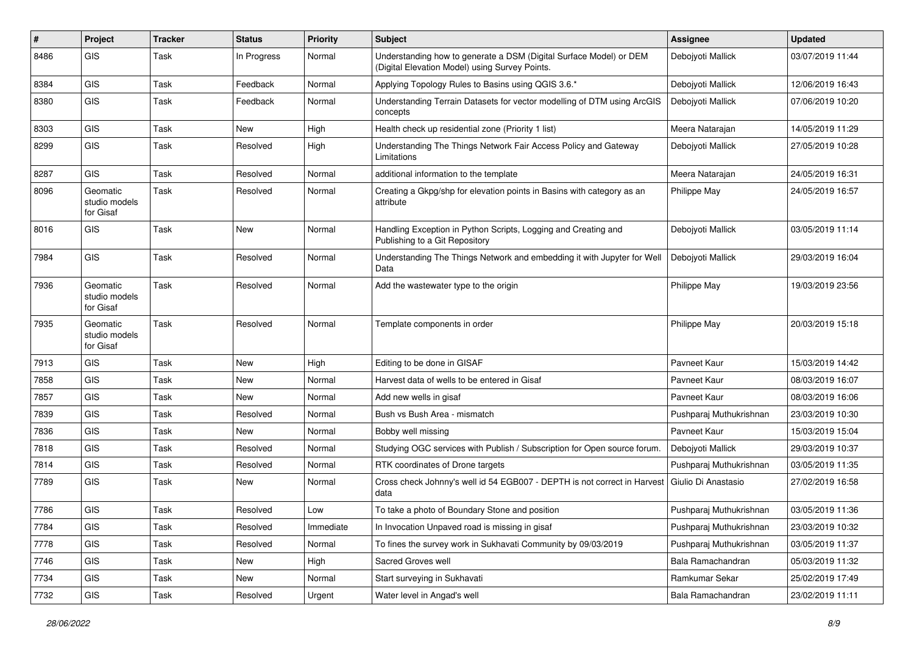| #    | Project                                | <b>Tracker</b> | <b>Status</b> | <b>Priority</b> | Subject                                                                                                              | Assignee                | <b>Updated</b>   |
|------|----------------------------------------|----------------|---------------|-----------------|----------------------------------------------------------------------------------------------------------------------|-------------------------|------------------|
| 8486 | GIS                                    | Task           | In Progress   | Normal          | Understanding how to generate a DSM (Digital Surface Model) or DEM<br>(Digital Elevation Model) using Survey Points. | Debojyoti Mallick       | 03/07/2019 11:44 |
| 8384 | GIS                                    | Task           | Feedback      | Normal          | Applying Topology Rules to Basins using QGIS 3.6.*                                                                   | Debojyoti Mallick       | 12/06/2019 16:43 |
| 8380 | GIS                                    | Task           | Feedback      | Normal          | Understanding Terrain Datasets for vector modelling of DTM using ArcGIS<br>concepts                                  | Debojyoti Mallick       | 07/06/2019 10:20 |
| 8303 | <b>GIS</b>                             | Task           | <b>New</b>    | High            | Health check up residential zone (Priority 1 list)                                                                   | Meera Natarajan         | 14/05/2019 11:29 |
| 8299 | GIS                                    | Task           | Resolved      | High            | Understanding The Things Network Fair Access Policy and Gateway<br>Limitations                                       | Deboivoti Mallick       | 27/05/2019 10:28 |
| 8287 | GIS                                    | Task           | Resolved      | Normal          | additional information to the template                                                                               | Meera Natarajan         | 24/05/2019 16:31 |
| 8096 | Geomatic<br>studio models<br>for Gisaf | Task           | Resolved      | Normal          | Creating a Gkpg/shp for elevation points in Basins with category as an<br>attribute                                  | Philippe May            | 24/05/2019 16:57 |
| 8016 | GIS                                    | Task           | <b>New</b>    | Normal          | Handling Exception in Python Scripts, Logging and Creating and<br>Publishing to a Git Repository                     | Debojyoti Mallick       | 03/05/2019 11:14 |
| 7984 | GIS                                    | Task           | Resolved      | Normal          | Understanding The Things Network and embedding it with Jupyter for Well<br>Data                                      | Debojyoti Mallick       | 29/03/2019 16:04 |
| 7936 | Geomatic<br>studio models<br>for Gisaf | Task           | Resolved      | Normal          | Add the wastewater type to the origin                                                                                | Philippe May            | 19/03/2019 23:56 |
| 7935 | Geomatic<br>studio models<br>for Gisaf | Task           | Resolved      | Normal          | Template components in order                                                                                         | Philippe May            | 20/03/2019 15:18 |
| 7913 | GIS                                    | Task           | New           | High            | Editing to be done in GISAF                                                                                          | Pavneet Kaur            | 15/03/2019 14:42 |
| 7858 | GIS                                    | Task           | <b>New</b>    | Normal          | Harvest data of wells to be entered in Gisaf                                                                         | Pavneet Kaur            | 08/03/2019 16:07 |
| 7857 | GIS                                    | Task           | New           | Normal          | Add new wells in gisaf                                                                                               | Pavneet Kaur            | 08/03/2019 16:06 |
| 7839 | GIS                                    | Task           | Resolved      | Normal          | Bush vs Bush Area - mismatch                                                                                         | Pushparaj Muthukrishnan | 23/03/2019 10:30 |
| 7836 | GIS                                    | Task           | <b>New</b>    | Normal          | Bobby well missing                                                                                                   | Pavneet Kaur            | 15/03/2019 15:04 |
| 7818 | GIS                                    | Task           | Resolved      | Normal          | Studying OGC services with Publish / Subscription for Open source forum.                                             | Debojyoti Mallick       | 29/03/2019 10:37 |
| 7814 | GIS                                    | Task           | Resolved      | Normal          | RTK coordinates of Drone targets                                                                                     | Pushparaj Muthukrishnan | 03/05/2019 11:35 |
| 7789 | <b>GIS</b>                             | Task           | New           | Normal          | Cross check Johnny's well id 54 EGB007 - DEPTH is not correct in Harvest<br>data                                     | Giulio Di Anastasio     | 27/02/2019 16:58 |
| 7786 | GIS                                    | Task           | Resolved      | Low             | To take a photo of Boundary Stone and position                                                                       | Pushparaj Muthukrishnan | 03/05/2019 11:36 |
| 7784 | GIS                                    | Task           | Resolved      | Immediate       | In Invocation Unpaved road is missing in gisaf                                                                       | Pushparaj Muthukrishnan | 23/03/2019 10:32 |
| 7778 | GIS                                    | Task           | Resolved      | Normal          | To fines the survey work in Sukhavati Community by 09/03/2019                                                        | Pushparaj Muthukrishnan | 03/05/2019 11:37 |
| 7746 | GIS                                    | Task           | New           | High            | Sacred Groves well                                                                                                   | Bala Ramachandran       | 05/03/2019 11:32 |
| 7734 | GIS                                    | Task           | New           | Normal          | Start surveying in Sukhavati                                                                                         | Ramkumar Sekar          | 25/02/2019 17:49 |
| 7732 | GIS                                    | Task           | Resolved      | Urgent          | Water level in Angad's well                                                                                          | Bala Ramachandran       | 23/02/2019 11:11 |